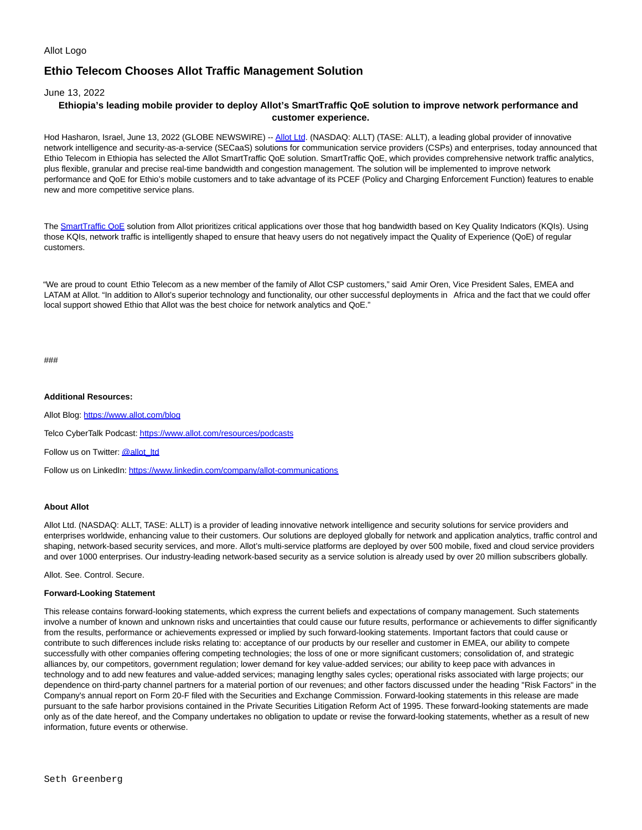# Allot Logo

# **Ethio Telecom Chooses Allot Traffic Management Solution**

# June 13, 2022

# **Ethiopia's leading mobile provider to deploy Allot's SmartTraffic QoE solution to improve network performance and customer experience.**

Hod Hasharon, Israel, June 13, 2022 (GLOBE NEWSWIRE) -- [Allot Ltd.](https://www.globenewswire.com/Tracker?data=qhjisiOVZg_WV9JpG3ndq2fF3yImfo96Lsx2E-CaSPIsrLFiU24DfCyS_yoWHQFTpH8DVk922435DCyTu15zUg==) (NASDAQ: ALLT) (TASE: ALLT), a leading global provider of innovative network intelligence and security-as-a-service (SECaaS) solutions for communication service providers (CSPs) and enterprises, today announced that Ethio Telecom in Ethiopia has selected the Allot SmartTraffic QoE solution. SmartTraffic QoE, which provides comprehensive network traffic analytics, plus flexible, granular and precise real-time bandwidth and congestion management. The solution will be implemented to improve network performance and QoE for Ethio's mobile customers and to take advantage of its PCEF (Policy and Charging Enforcement Function) features to enable new and more competitive service plans.

The [SmartTraffic QoE s](https://www.globenewswire.com/Tracker?data=yhKUMo3Ea73lfII-KdMaJ3Mv1JyHssSYq6eWRQTLWajcKuiGGju7eXIezLfrMtXts4mqykWEIqA1zKjyAtL_S7CQZZYt_aUJboeWKVUvCBH7V0Dxj4CeeR16ZWjjHOJPcnIGz9SwfxBMTjc0uuss2payWBbtCG9sdnYTQcNFe_h4sxfU4sevIQHbNYhxoVBI)olution from Allot prioritizes critical applications over those that hog bandwidth based on Key Quality Indicators (KQIs). Using those KQIs, network traffic is intelligently shaped to ensure that heavy users do not negatively impact the Quality of Experience (QoE) of regular customers.

"We are proud to count Ethio Telecom as a new member of the family of Allot CSP customers," said Amir Oren, Vice President Sales, EMEA and LATAM at Allot. "In addition to Allot's superior technology and functionality, our other successful deployments in Africa and the fact that we could offer local support showed Ethio that Allot was the best choice for network analytics and QoE."

###

### **Additional Resources:**

Allot Blog: [https://www.allot.com/blog](https://www.globenewswire.com/Tracker?data=csklyTKq4GpOAWLlKC6-SIJUu5E_0fYxZW7xMCgGLa9HLE_PwADhHc8XDKnMKsqsPzpaQlqXYmWlIio9G0DenQ2t4NBim_i49hMKfbtbDQ8=) Telco CyberTalk Podcast[: https://www.allot.com/resources/podcasts](https://www.globenewswire.com/Tracker?data=csklyTKq4GpOAWLlKC6-SIJUu5E_0fYxZW7xMCgGLa-LYnjZ8wUIf2ep1BIjq3K-vHkd8FQPKWfsSsIUgfwUlV-wx4nIL5suRIdH9Qy9hjUQrDPVLuRt3-Ymhwn9mHVQ80aTSuJc8mHLqOsrJyjcbg==) Follow us on Twitter[: @allot\\_ltd](https://www.globenewswire.com/Tracker?data=99-M6QDPGTCLkCCMSjm4IVG8PV23OfIenisimlpT8ubQe7__a4e0amH5hSyPvDHCLqe1pB_r7KSonIf5LVueLA==)

Follow us on LinkedIn: [https://www.linkedin.com/company/allot-communications](https://www.globenewswire.com/Tracker?data=csklyTKq4GpOAWLlKC6-SO6lLS3X1Gq2AKbc8qL2cSlqygAYbDCzRlqJZICjbRRNn8HXuNHVe5EQ3RU8vAMy0Ump-uisdYMI2prhXgtsCYvScEikFxFXrrx575I8VewWQtSMjFutXcsXeVCOseaoIukXRC8hLcZkE-MHoRbSmDRzDAoXukMgz2C0DxGwpqFR)

## **About Allot**

Allot Ltd. (NASDAQ: ALLT, TASE: ALLT) is a provider of leading innovative network intelligence and security solutions for service providers and enterprises worldwide, enhancing value to their customers. Our solutions are deployed globally for network and application analytics, traffic control and shaping, network-based security services, and more. Allot's multi-service platforms are deployed by over 500 mobile, fixed and cloud service providers and over 1000 enterprises. Our industry-leading network-based security as a service solution is already used by over 20 million subscribers globally.

Allot. See. Control. Secure.

#### **Forward-Looking Statement**

This release contains forward-looking statements, which express the current beliefs and expectations of company management. Such statements involve a number of known and unknown risks and uncertainties that could cause our future results, performance or achievements to differ significantly from the results, performance or achievements expressed or implied by such forward-looking statements. Important factors that could cause or contribute to such differences include risks relating to: acceptance of our products by our reseller and customer in EMEA, our ability to compete successfully with other companies offering competing technologies; the loss of one or more significant customers; consolidation of, and strategic alliances by, our competitors, government regulation; lower demand for key value-added services; our ability to keep pace with advances in technology and to add new features and value-added services; managing lengthy sales cycles; operational risks associated with large projects; our dependence on third-party channel partners for a material portion of our revenues; and other factors discussed under the heading "Risk Factors" in the Company's annual report on Form 20-F filed with the Securities and Exchange Commission. Forward-looking statements in this release are made pursuant to the safe harbor provisions contained in the Private Securities Litigation Reform Act of 1995. These forward-looking statements are made only as of the date hereof, and the Company undertakes no obligation to update or revise the forward-looking statements, whether as a result of new information, future events or otherwise.